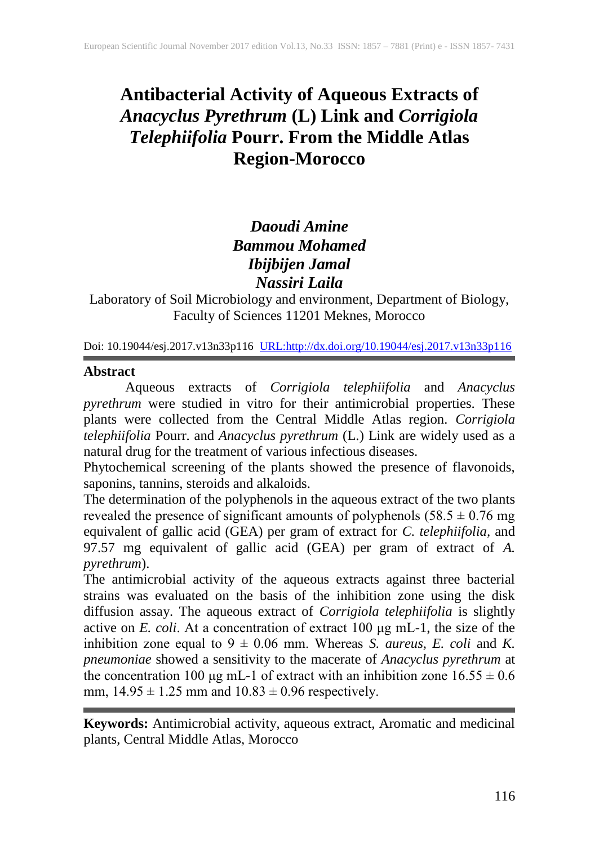# **Antibacterial Activity of Aqueous Extracts of**  *Anacyclus Pyrethrum* **(L) Link and** *Corrigiola Telephiifolia* **Pourr. From the Middle Atlas Region-Morocco**

# *Daoudi Amine Bammou Mohamed Ibijbijen Jamal Nassiri Laila*

Laboratory of Soil Microbiology and environment, Department of Biology, Faculty of Sciences 11201 Meknes, Morocco

Doi: 10.19044/esj.2017.v13n33p116 [URL:http://dx.doi.org/10.19044/esj.2017.v13n33p116](http://dx.doi.org/10.19044/esj.2017.v13n33p116)

# **Abstract**

Aqueous extracts of *Corrigiola telephiifolia* and *Anacyclus pyrethrum* were studied in vitro for their antimicrobial properties. These plants were collected from the Central Middle Atlas region*. Corrigiola telephiifolia* Pourr. and *Anacyclus pyrethrum* (L.) Link are widely used as a natural drug for the treatment of various infectious diseases.

Phytochemical screening of the plants showed the presence of flavonoids, saponins, tannins, steroids and alkaloids.

The determination of the polyphenols in the aqueous extract of the two plants revealed the presence of significant amounts of polyphenols  $(58.5 \pm 0.76 \text{ mg})$ equivalent of gallic acid (GEA) per gram of extract for *C. telephiifolia,* and 97.57 mg equivalent of gallic acid (GEA) per gram of extract of *A. pyrethrum*).

The antimicrobial activity of the aqueous extracts against three bacterial strains was evaluated on the basis of the inhibition zone using the disk diffusion assay. The aqueous extract of *Corrigiola telephiifolia* is slightly active on *E. coli*. At a concentration of extract 100 μg mL-1, the size of the inhibition zone equal to  $9 \pm 0.06$  mm. Whereas *S. aureus, E. coli* and *K. pneumoniae* showed a sensitivity to the macerate of *Anacyclus pyrethrum* at the concentration 100 μg mL-1 of extract with an inhibition zone  $16.55 \pm 0.6$ mm,  $14.95 \pm 1.25$  mm and  $10.83 \pm 0.96$  respectively.

**Keywords:** Antimicrobial activity, aqueous extract, Aromatic and medicinal plants, Central Middle Atlas, Morocco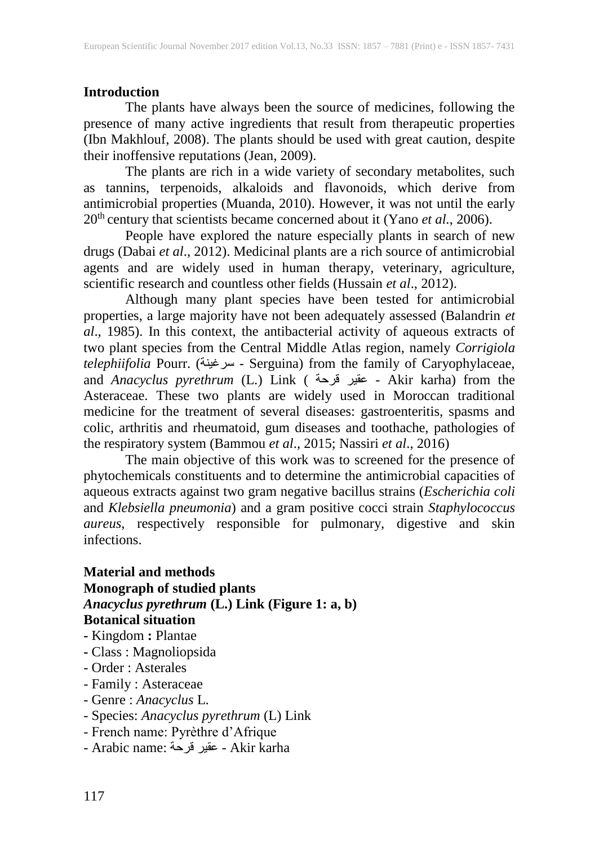#### **Introduction**

The plants have always been the source of medicines, following the presence of many active ingredients that result from therapeutic properties (Ibn Makhlouf, 2008). The plants should be used with great caution, despite their inoffensive reputations (Jean, 2009).

The plants are rich in a wide variety of secondary metabolites, such as tannins, terpenoids, alkaloids and flavonoids, which derive from antimicrobial properties (Muanda, 2010). However, it was not until the early 20<sup>th</sup> century that scientists became concerned about it (Yano *et al.*, 2006).

People have explored the nature especially plants in search of new drugs (Dabai *et al*., 2012). Medicinal plants are a rich source of antimicrobial agents and are widely used in human therapy, veterinary, agriculture, scientific research and countless other fields (Hussain *et al*., 2012).

Although many plant species have been tested for antimicrobial properties, a large majority have not been adequately assessed (Balandrin *et al*., 1985). In this context, the antibacterial activity of aqueous extracts of two plant species from the Central Middle Atlas region, namely *Corrigiola telephiifolia* Pourr. (سرغينة - Serguina) from the family of Caryophylaceae, and *Anacyclus pyrethrum* (L.) Link ( قرحة عقير - Akir karha) from the Asteraceae. These two plants are widely used in Moroccan traditional medicine for the treatment of several diseases: gastroenteritis, spasms and colic, arthritis and rheumatoid, gum diseases and toothache, pathologies of the respiratory system (Bammou *et al*., 2015; Nassiri *et al*., 2016)

The main objective of this work was to screened for the presence of phytochemicals constituents and to determine the antimicrobial capacities of aqueous extracts against two gram negative bacillus strains (*Escherichia coli* and *Klebsiella pneumonia*) and a gram positive cocci strain *Staphylococcus aureus*, respectively responsible for pulmonary, digestive and skin infections.

# **Material and methods Monograph of studied plants** *Anacyclus pyrethrum* **(L.) Link (Figure 1: a, b) Botanical situation**

- **-** Kingdom **:** Plantae
- **-** Class : Magnoliopsida
- Order : Asterales
- Family : Asteraceae
- Genre : *Anacyclus* L.
- Species: *Anacyclus pyrethrum* (L) Link
- French name: Pyrèthre d'Afrique
- Arabic name: قرحة عقير Akir karha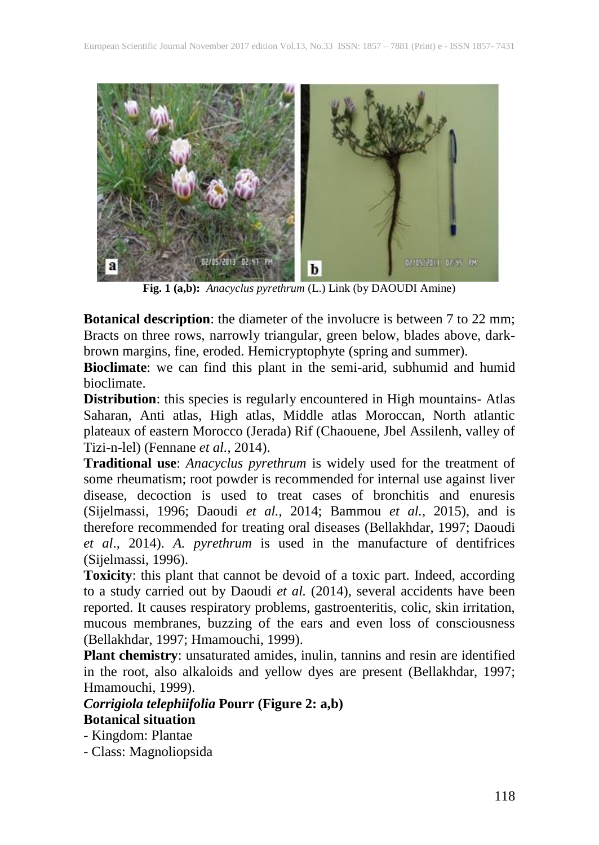

**Fig. 1 (a,b):** *Anacyclus pyrethrum* (L.) Link (by DAOUDI Amine)

**Botanical description**: the diameter of the involucre is between 7 to 22 mm; Bracts on three rows, narrowly triangular, green below, blades above, darkbrown margins, fine, eroded. Hemicryptophyte (spring and summer).

**Bioclimate**: we can find this plant in the semi-arid, subhumid and humid bioclimate.

**Distribution**: this species is regularly encountered in High mountains- Atlas Saharan, Anti atlas, High atlas, Middle atlas Moroccan, North atlantic plateaux of eastern Morocco (Jerada) Rif (Chaouene, Jbel Assilenh, valley of Tizi-n-lel) (Fennane *et al.*, 2014).

**Traditional use**: *Anacyclus pyrethrum* is widely used for the treatment of some rheumatism; root powder is recommended for internal use against liver disease, decoction is used to treat cases of bronchitis and enuresis (Sijelmassi, 1996; Daoudi *et al.*, 2014; Bammou *et al.*, 2015), and is therefore recommended for treating oral diseases (Bellakhdar, 1997; Daoudi *et al*., 2014). *A. pyrethrum* is used in the manufacture of dentifrices (Sijelmassi, 1996).

**Toxicity**: this plant that cannot be devoid of a toxic part. Indeed, according to a study carried out by Daoudi *et al.* (2014), several accidents have been reported. It causes respiratory problems, gastroenteritis, colic, skin irritation, mucous membranes, buzzing of the ears and even loss of consciousness (Bellakhdar, 1997; Hmamouchi, 1999).

**Plant chemistry**: unsaturated amides, inulin, tannins and resin are identified in the root, also alkaloids and yellow dyes are present (Bellakhdar, 1997; Hmamouchi, 1999).

# *Corrigiola telephiifolia* **Pourr (Figure 2: a,b)**

**Botanical situation**

- Kingdom: Plantae

- Class: Magnoliopsida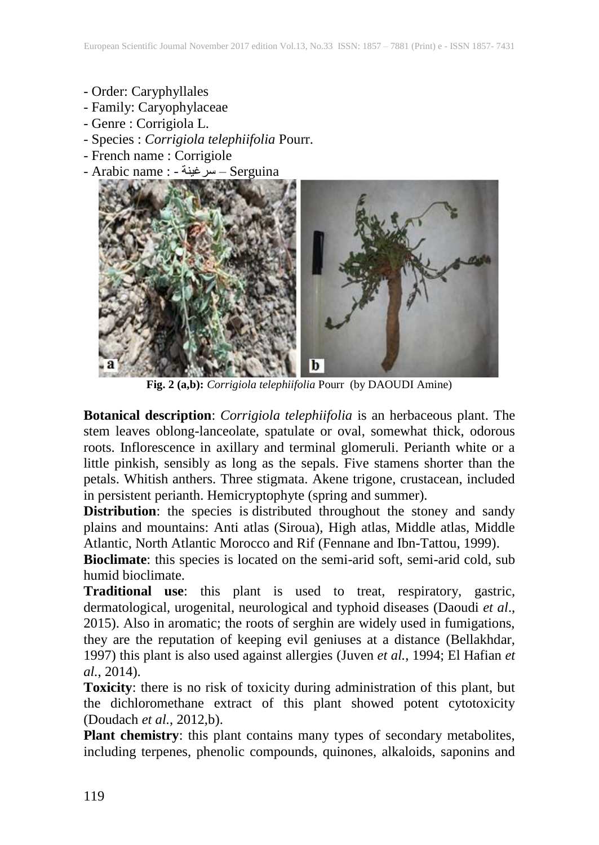- Order: Caryphyllales
- Family: Caryophylaceae
- Genre : Corrigiola L.
- Species : *Corrigiola telephiifolia* Pourr.
- French name : Corrigiole
- Arabic name : سرغينة Serguina



**Fig. 2 (a,b):** *Corrigiola telephiifolia* Pourr (by DAOUDI Amine)

**Botanical description**: *Corrigiola telephiifolia* is an herbaceous plant. The stem leaves oblong-lanceolate, spatulate or oval, somewhat thick, odorous roots. Inflorescence in axillary and terminal glomeruli. Perianth white or a little pinkish, sensibly as long as the sepals. Five stamens shorter than the petals. Whitish anthers. Three stigmata. Akene trigone, crustacean, included in persistent perianth. Hemicryptophyte (spring and summer).

**Distribution**: the species is distributed throughout the stoney and sandy plains and mountains: Anti atlas (Siroua), High atlas, Middle atlas, Middle Atlantic, North Atlantic Morocco and Rif (Fennane and Ibn-Tattou, 1999).

**Bioclimate**: this species is located on the semi-arid soft, semi-arid cold, sub humid bioclimate.

**Traditional use**: this plant is used to treat, respiratory, gastric, dermatological, urogenital, neurological and typhoid diseases (Daoudi *et al*., 2015). Also in aromatic; the roots of serghin are widely used in fumigations, they are the reputation of keeping evil geniuses at a distance (Bellakhdar, 1997) this plant is also used against allergies (Juven *et al.*, 1994; El Hafian *et al.*, 2014).

**Toxicity**: there is no risk of toxicity during administration of this plant, but the dichloromethane extract of this plant showed potent cytotoxicity [\(Doudach](#page-10-0) *et al.*, 2012,b).

**Plant chemistry**: this plant contains many types of secondary metabolites, including terpenes, phenolic compounds, quinones, alkaloids, saponins and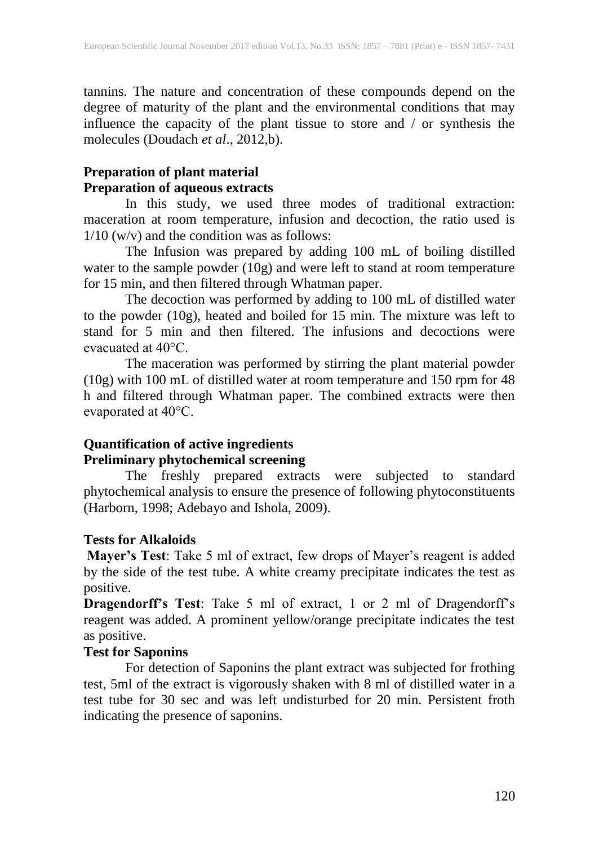tannins. The nature and concentration of these compounds depend on the degree of maturity of the plant and the environmental conditions that may influence the capacity of the plant tissue to store and / or synthesis the molecules [\(Doudach](#page-10-0) *et al*., 2012,b).

# **Preparation of plant material Preparation of aqueous extracts**

In this study, we used three modes of traditional extraction: maceration at room temperature, infusion and decoction, the ratio used is  $1/10$  (w/v) and the condition was as follows:

The Infusion was prepared by adding 100 mL of boiling distilled water to the sample powder (10g) and were left to stand at room temperature for 15 min, and then filtered through Whatman paper.

The decoction was performed by adding to 100 mL of distilled water to the powder (10g), heated and boiled for 15 min. The mixture was left to stand for 5 min and then filtered. The infusions and decoctions were evacuated at 40°C.

The maceration was performed by stirring the plant material powder (10g) with 100 mL of distilled water at room temperature and 150 rpm for 48 h and filtered through Whatman paper. The combined extracts were then evaporated at 40°C.

# **Quantification of active ingredients Preliminary phytochemical screening**

The freshly prepared extracts were subjected to standard phytochemical analysis to ensure the presence of following phytoconstituents (Harborn, 1998; Adebayo and Ishola, 2009).

# **Tests for Alkaloids**

**Mayer's Test**: Take 5 ml of extract, few drops of Mayer's reagent is added by the side of the test tube. A white creamy precipitate indicates the test as positive.

**Dragendorff's Test**: Take 5 ml of extract, 1 or 2 ml of Dragendorff's reagent was added. A prominent yellow/orange precipitate indicates the test as positive.

# **Test for Saponins**

For detection of Saponins the plant extract was subjected for frothing test, 5ml of the extract is vigorously shaken with 8 ml of distilled water in a test tube for 30 sec and was left undisturbed for 20 min. Persistent froth indicating the presence of saponins.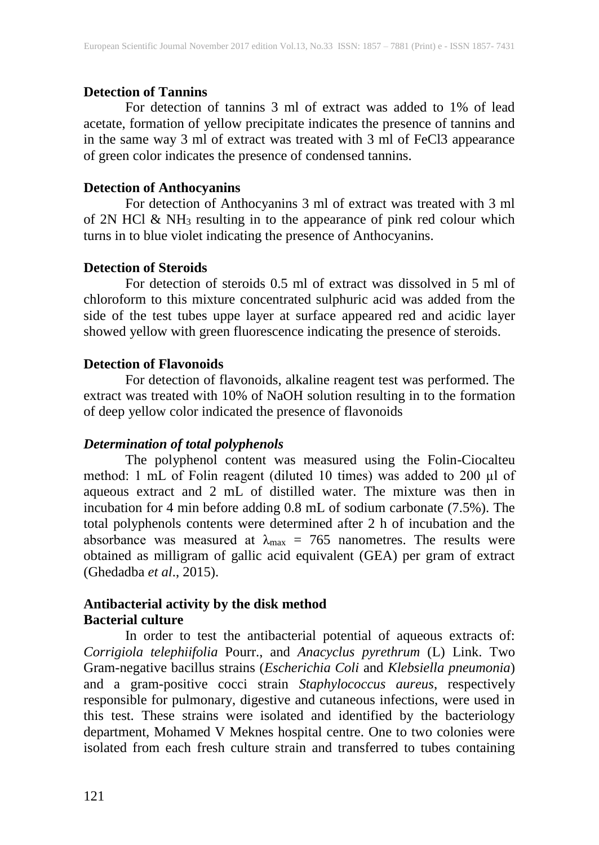#### **Detection of Tannins**

For detection of tannins 3 ml of extract was added to 1% of lead acetate, formation of yellow precipitate indicates the presence of tannins and in the same way 3 ml of extract was treated with 3 ml of FeCl3 appearance of green color indicates the presence of condensed tannins.

#### **Detection of Anthocyanins**

For detection of Anthocyanins 3 ml of extract was treated with 3 ml of 2N HCl  $\&$  NH<sub>3</sub> resulting in to the appearance of pink red colour which turns in to blue violet indicating the presence of Anthocyanins.

#### **Detection of Steroids**

For detection of steroids 0.5 ml of extract was dissolved in 5 ml of chloroform to this mixture concentrated sulphuric acid was added from the side of the test tubes uppe layer at surface appeared red and acidic layer showed yellow with green fluorescence indicating the presence of steroids.

# **Detection of Flavonoids**

For detection of flavonoids, alkaline reagent test was performed. The extract was treated with 10% of NaOH solution resulting in to the formation of deep yellow color indicated the presence of flavonoids

#### *Determination of total polyphenols*

The polyphenol content was measured using the Folin-Ciocalteu method: 1 mL of Folin reagent (diluted 10 times) was added to 200 µl of aqueous extract and 2 mL of distilled water. The mixture was then in incubation for 4 min before adding 0.8 mL of sodium carbonate (7.5%). The total polyphenols contents were determined after 2 h of incubation and the absorbance was measured at  $\lambda_{\text{max}} = 765$  nanometres. The results were obtained as milligram of gallic acid equivalent (GEA) per gram of extract (Ghedadba *et al*., 2015).

# **Antibacterial activity by the disk method Bacterial culture**

In order to test the antibacterial potential of aqueous extracts of: *Corrigiola telephiifolia* Pourr., and *Anacyclus pyrethrum* (L) Link. Two Gram-negative bacillus strains (*Escherichia Coli* and *Klebsiella pneumonia*) and a gram-positive cocci strain *Staphylococcus aureus*, respectively responsible for pulmonary, digestive and cutaneous infections, were used in this test. These strains were isolated and identified by the bacteriology department, Mohamed V Meknes hospital centre. One to two colonies were isolated from each fresh culture strain and transferred to tubes containing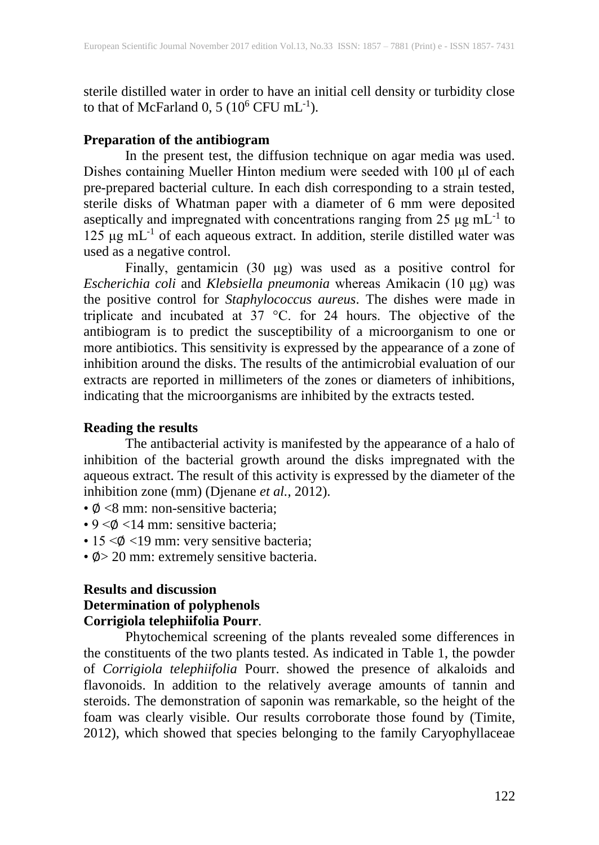sterile distilled water in order to have an initial cell density or turbidity close to that of McFarland 0, 5 ( $10^6$  CFU mL<sup>-1</sup>).

#### **Preparation of the antibiogram**

In the present test, the diffusion technique on agar media was used. Dishes containing Mueller Hinton medium were seeded with 100 μl of each pre-prepared bacterial culture. In each dish corresponding to a strain tested, sterile disks of Whatman paper with a diameter of 6 mm were deposited aseptically and impregnated with concentrations ranging from  $25 \mu g$  mL<sup>-1</sup> to 125 μg mL -1 of each aqueous extract. In addition, sterile distilled water was used as a negative control.

Finally, gentamicin (30 μg) was used as a positive control for *Escherichia coli* and *Klebsiella pneumonia* whereas Amikacin (10 μg) was the positive control for *Staphylococcus aureus*. The dishes were made in triplicate and incubated at 37 °C. for 24 hours. The objective of the antibiogram is to predict the susceptibility of a microorganism to one or more antibiotics. This sensitivity is expressed by the appearance of a zone of inhibition around the disks. The results of the antimicrobial evaluation of our extracts are reported in millimeters of the zones or diameters of inhibitions, indicating that the microorganisms are inhibited by the extracts tested.

# **Reading the results**

The antibacterial activity is manifested by the appearance of a halo of inhibition of the bacterial growth around the disks impregnated with the aqueous extract. The result of this activity is expressed by the diameter of the inhibition zone (mm) (Djenane *et al.*, 2012).

- ∅ <8 mm: non-sensitive bacteria;
- $9 < \phi < 14$  mm: sensitive bacteria;
- 15 < $\phi$  <19 mm: very sensitive bacteria;
- ∅> 20 mm: extremely sensitive bacteria.

# **Results and discussion Determination of polyphenols Corrigiola telephiifolia Pourr**.

Phytochemical screening of the plants revealed some differences in the constituents of the two plants tested. As indicated in Table 1, the powder of *Corrigiola telephiifolia* Pourr. showed the presence of alkaloids and flavonoids. In addition to the relatively average amounts of tannin and steroids. The demonstration of saponin was remarkable, so the height of the foam was clearly visible. Our results corroborate those found by (Timite, 2012), which showed that species belonging to the family Caryophyllaceae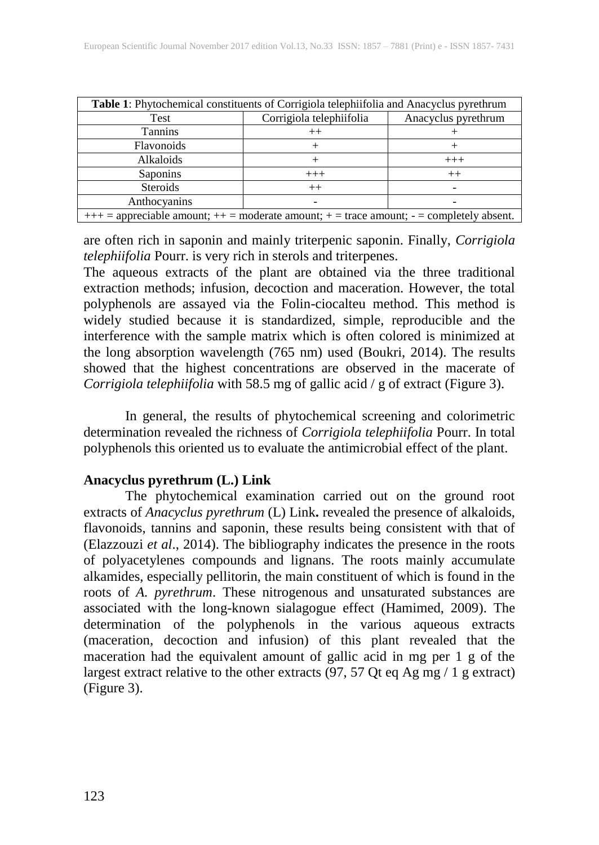| Table 1: Phytochemical constituents of Corrigiola telephiifolia and Anacyclus pyrethrum          |                          |                     |  |  |  |
|--------------------------------------------------------------------------------------------------|--------------------------|---------------------|--|--|--|
| Test                                                                                             | Corrigiola telephiifolia | Anacyclus pyrethrum |  |  |  |
| <b>Tannins</b>                                                                                   | $^{++}$                  |                     |  |  |  |
| Flavonoids                                                                                       |                          |                     |  |  |  |
| Alkaloids                                                                                        |                          | $^{+++}$            |  |  |  |
| Saponins                                                                                         | $+++$                    | $^{++}$             |  |  |  |
| <b>Steroids</b>                                                                                  | $^{++}$                  |                     |  |  |  |
| Anthocyanins                                                                                     |                          |                     |  |  |  |
| $+++$ = appreciable amount; $++$ = moderate amount; $+$ = trace amount; $-$ = completely absent. |                          |                     |  |  |  |

are often rich in saponin and mainly triterpenic saponin. Finally, *Corrigiola telephiifolia* Pourr. is very rich in sterols and triterpenes.

The aqueous extracts of the plant are obtained via the three traditional extraction methods; infusion, decoction and maceration. However, the total polyphenols are assayed via the Folin-ciocalteu method. This method is widely studied because it is standardized, simple, reproducible and the interference with the sample matrix which is often colored is minimized at the long absorption wavelength (765 nm) used (Boukri, 2014). The results showed that the highest concentrations are observed in the macerate of *Corrigiola telephiifolia* with 58.5 mg of gallic acid / g of extract (Figure 3).

In general, the results of phytochemical screening and colorimetric determination revealed the richness of *Corrigiola telephiifolia* Pourr. In total polyphenols this oriented us to evaluate the antimicrobial effect of the plant.

# **Anacyclus pyrethrum (L.) Link**

The phytochemical examination carried out on the ground root extracts of *Anacyclus pyrethrum* (L) Link**.** revealed the presence of alkaloids, flavonoids, tannins and saponin, these results being consistent with that of (Elazzouzi *et al*., 2014). The bibliography indicates the presence in the roots of polyacetylenes compounds and lignans. The roots mainly accumulate alkamides, especially pellitorin, the main constituent of which is found in the roots of *A. pyrethrum*. These nitrogenous and unsaturated substances are associated with the long-known sialagogue effect (Hamimed, 2009). The determination of the polyphenols in the various aqueous extracts (maceration, decoction and infusion) of this plant revealed that the maceration had the equivalent amount of gallic acid in mg per 1 g of the largest extract relative to the other extracts  $(97, 57$  Qt eq Ag mg  $/ 1$  g extract) (Figure 3).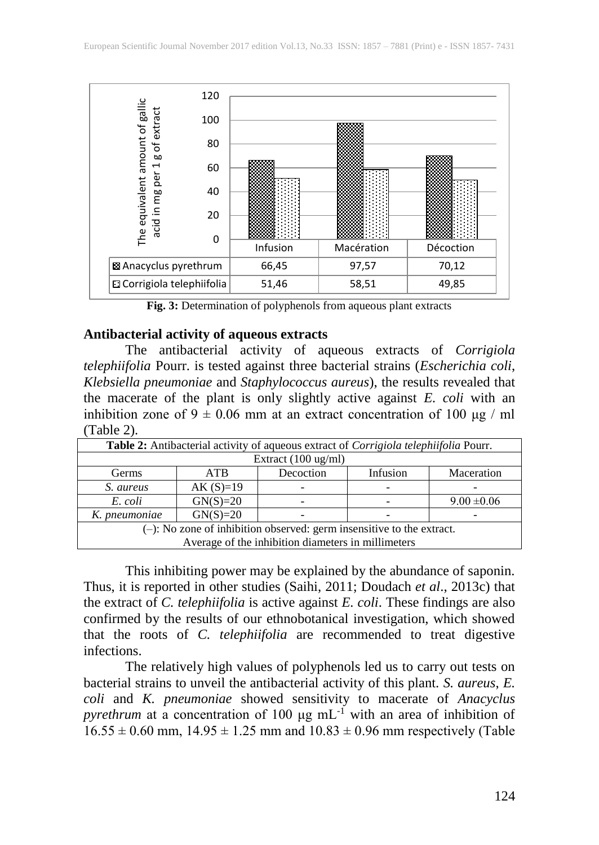

**Fig. 3:** Determination of polyphenols from aqueous plant extracts

#### **Antibacterial activity of aqueous extracts**

The antibacterial activity of aqueous extracts of *Corrigiola telephiifolia* Pourr. is tested against three bacterial strains (*Escherichia coli*, *Klebsiella pneumoniae* and *Staphylococcus aureus*), the results revealed that the macerate of the plant is only slightly active against *E. coli* with an inhibition zone of  $9 \pm 0.06$  mm at an extract concentration of 100 μg / ml (Table 2).

| Table 2: Antibacterial activity of aqueous extract of Corrigiola telephiifolia Pourr. |            |           |          |                 |  |
|---------------------------------------------------------------------------------------|------------|-----------|----------|-----------------|--|
| Extract (100 ug/ml)                                                                   |            |           |          |                 |  |
| Germs                                                                                 | <b>ATB</b> | Decoction | Infusion | Maceration      |  |
| S. aureus                                                                             | $AK(S)=19$ |           |          |                 |  |
| E. coli                                                                               | $GN(S)=20$ |           |          | $9.00 \pm 0.06$ |  |
| K. pneumoniae                                                                         | $GN(S)=20$ |           |          |                 |  |
| $(-)$ : No zone of inhibition observed: germ insensitive to the extract.              |            |           |          |                 |  |
| Average of the inhibition diameters in millimeters                                    |            |           |          |                 |  |

This inhibiting power may be explained by the abundance of saponin. Thus, it is reported in other studies (Saihi, 2011; Doudach *et al*., 2013c) that the extract of *C. telephiifolia* is active against *E. coli*. These findings are also confirmed by the results of our ethnobotanical investigation, which showed that the roots of *C. telephiifolia* are recommended to treat digestive infections.

The relatively high values of polyphenols led us to carry out tests on bacterial strains to unveil the antibacterial activity of this plant. *S. aureus*, *E. coli* and *K. pneumoniae* showed sensitivity to macerate of *Anacyclus pyrethrum* at a concentration of 100  $\mu$ g mL<sup>-1</sup> with an area of inhibition of  $16.55 \pm 0.60$  mm,  $14.95 \pm 1.25$  mm and  $10.83 \pm 0.96$  mm respectively (Table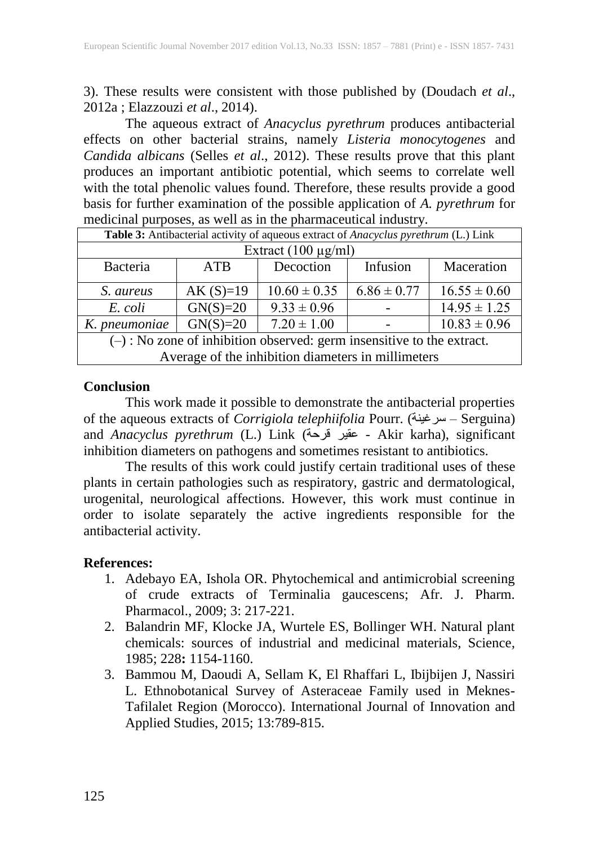3). These results were consistent with those published by (Doudach *et al*., 2012a ; Elazzouzi *et al*., 2014).

The aqueous extract of *Anacyclus pyrethrum* produces antibacterial effects on other bacterial strains, namely *Listeria monocytogenes* and *Candida albicans* (Selles *et al*., 2012). These results prove that this plant produces an important antibiotic potential, which seems to correlate well with the total phenolic values found. Therefore, these results provide a good basis for further examination of the possible application of *A. pyrethrum* for medicinal purposes, as well as in the pharmaceutical industry.

| Table 3: Antibacterial activity of aqueous extract of Anacyclus pyrethrum (L.) Link |            |                  |                 |                  |  |
|-------------------------------------------------------------------------------------|------------|------------------|-----------------|------------------|--|
| Extract $(100 \mu g/ml)$                                                            |            |                  |                 |                  |  |
| Bacteria                                                                            | <b>ATB</b> | Decoction        | Infusion        | Maceration       |  |
| S. aureus                                                                           | $AK(S)=19$ | $10.60 \pm 0.35$ | $6.86 \pm 0.77$ | $16.55 \pm 0.60$ |  |
| E. coli                                                                             | $GN(S)=20$ | $9.33 \pm 0.96$  |                 | $14.95 \pm 1.25$ |  |
| K. pneumoniae                                                                       | $GN(S)=20$ | $7.20 \pm 1.00$  |                 | $10.83 \pm 0.96$ |  |
| $(-)$ : No zone of inhibition observed: germ insensitive to the extract.            |            |                  |                 |                  |  |
| Average of the inhibition diameters in millimeters                                  |            |                  |                 |                  |  |

# **Conclusion**

This work made it possible to demonstrate the antibacterial properties of the aqueous extracts of *Corrigiola telephiifolia* Pourr. (سرغينة – Serguina) and *Anacyclus pyrethrum* (L.) Link (قرحة عقير - Akir karha), significant inhibition diameters on pathogens and sometimes resistant to antibiotics.

The results of this work could justify certain traditional uses of these plants in certain pathologies such as respiratory, gastric and dermatological, urogenital, neurological affections. However, this work must continue in order to isolate separately the active ingredients responsible for the antibacterial activity.

# **References:**

- 1. Adebayo EA, Ishola OR. Phytochemical and antimicrobial screening of crude extracts of Terminalia gaucescens; Afr. J. Pharm. Pharmacol., 2009; 3: 217-221.
- 2. Balandrin MF, Klocke JA, Wurtele ES, Bollinger WH. Natural plant chemicals: sources of industrial and medicinal materials, Science*,*  1985; 228**:** 1154-1160.
- 3. Bammou M, Daoudi A, Sellam K, El Rhaffari L, Ibijbijen J, Nassiri L. Ethnobotanical Survey of Asteraceae Family used in Meknes-Tafilalet Region (Morocco). International Journal of Innovation and Applied Studies, 2015; 13:789-815.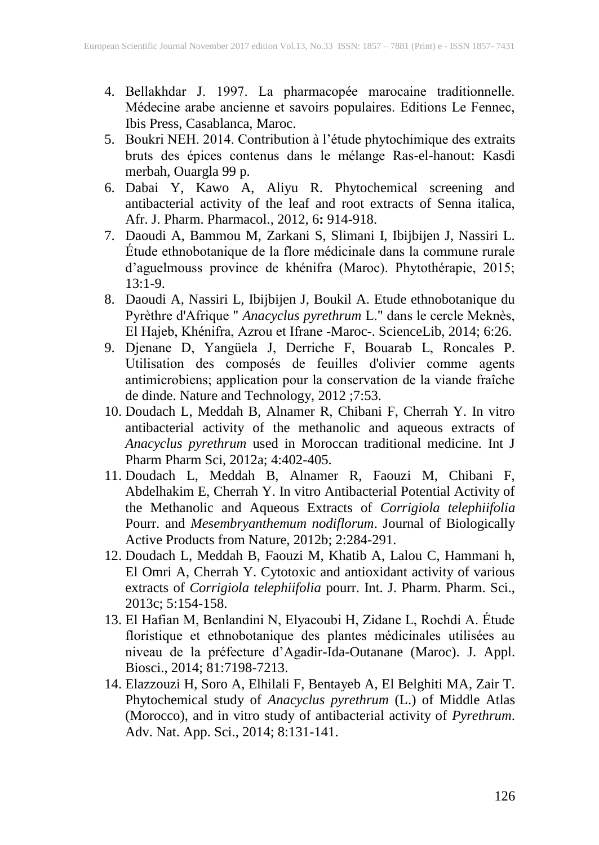- 4. Bellakhdar J. 1997. La pharmacopée marocaine traditionnelle. Médecine arabe ancienne et savoirs populaires. Editions Le Fennec, Ibis Press, Casablanca, Maroc.
- 5. Boukri NEH. 2014. Contribution à l'étude phytochimique des extraits bruts des épices contenus dans le mélange Ras-el-hanout: Kasdi merbah, Ouargla 99 p.
- 6. Dabai Y, Kawo A, Aliyu R. Phytochemical screening and antibacterial activity of the leaf and root extracts of Senna italica, Afr. J. Pharm. Pharmacol.*,* 2012, 6**:** 914-918.
- 7. Daoudi A, Bammou M, Zarkani S, Slimani I, Ibijbijen J, Nassiri L. Étude ethnobotanique de la flore médicinale dans la commune rurale d'aguelmouss province de khénifra (Maroc). Phytothérapie, 2015; 13:1-9.
- 8. Daoudi A, Nassiri L, Ibijbijen J, Boukil A. Etude ethnobotanique du Pyrèthre d'Afrique " *Anacyclus pyrethrum* L." dans le cercle Meknès, El Hajeb, Khénifra, Azrou et Ifrane -Maroc-. ScienceLib, 2014; 6:26.
- 9. Djenane D, Yangüela J, Derriche F, Bouarab L, Roncales P. Utilisation des composés de feuilles d'olivier comme agents antimicrobiens; application pour la conservation de la viande fraîche de dinde. Nature and Technology, 2012 ;7:53.
- 10. Doudach L, Meddah B, Alnamer R, Chibani F, Cherrah Y. In vitro antibacterial activity of the methanolic and aqueous extracts of *Anacyclus pyrethrum* used in Moroccan traditional medicine. Int J Pharm Pharm Sci, 2012a; 4:402-405.
- <span id="page-10-0"></span>11. Doudach L, Meddah B, Alnamer R, Faouzi M, Chibani F, Abdelhakim E, Cherrah Y. In vitro Antibacterial Potential Activity of the Methanolic and Aqueous Extracts of *Corrigiola telephiifolia* Pourr. and *Mesembryanthemum nodiflorum*. Journal of Biologically Active Products from Nature, 2012b; 2:284-291.
- 12. Doudach L, Meddah B, Faouzi M, Khatib A, Lalou C, Hammani h, El Omri A, Cherrah Y. Cytotoxic and antioxidant activity of various extracts of *Corrigiola telephiifolia* pourr. Int. J. Pharm. Pharm. Sci., 2013c; 5:154-158.
- 13. El Hafian M, Benlandini N, Elyacoubi H, Zidane L, Rochdi A. Étude floristique et ethnobotanique des plantes médicinales utilisées au niveau de la préfecture d'Agadir-Ida-Outanane (Maroc). J. Appl. Biosci., 2014; 81:7198-7213.
- 14. Elazzouzi H, Soro A, Elhilali F, Bentayeb A, El Belghiti MA, Zair T. Phytochemical study of *Anacyclus pyrethrum* (L.) of Middle Atlas (Morocco), and in vitro study of antibacterial activity of *Pyrethrum*. Adv. Nat. App. Sci., 2014; 8:131-141.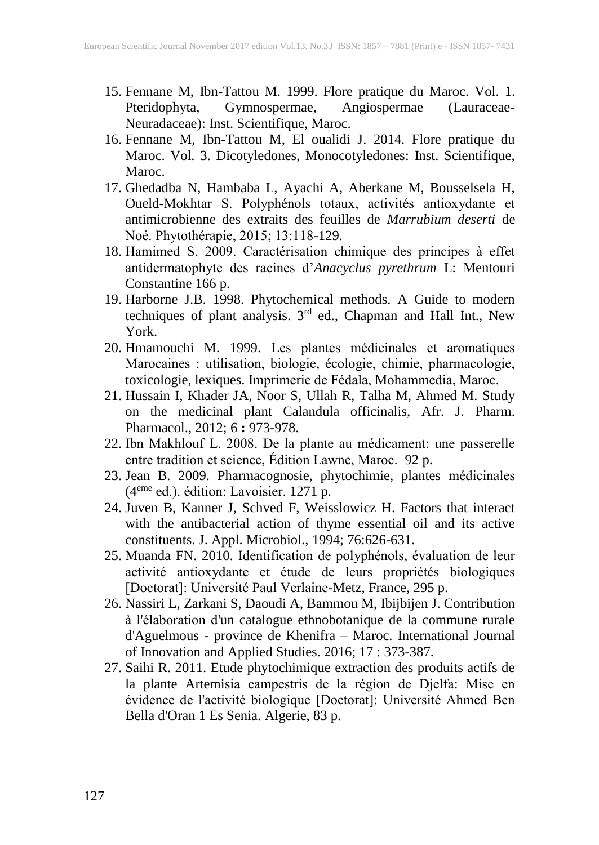- 15. Fennane M, Ibn-Tattou M. 1999. Flore pratique du Maroc. Vol. 1. Pteridophyta, Gymnospermae, Angiospermae (Lauraceae-Neuradaceae): Inst. Scientifique, Maroc.
- 16. Fennane M, Ibn-Tattou M, El oualidi J. 2014. Flore pratique du Maroc. Vol. 3. Dicotyledones, Monocotyledones: Inst. Scientifique, Maroc.
- 17. Ghedadba N, Hambaba L, Ayachi A, Aberkane M, Bousselsela H, Oueld-Mokhtar S. Polyphénols totaux, activités antioxydante et antimicrobienne des extraits des feuilles de *Marrubium deserti* de Noé. Phytothérapie, 2015; 13:118-129.
- 18. Hamimed S. 2009. Caractérisation chimique des principes à effet antidermatophyte des racines d'*Anacyclus pyrethrum* L: Mentouri Constantine 166 p.
- 19. Harborne J.B. 1998. Phytochemical methods. A Guide to modern techniques of plant analysis. 3<sup>rd</sup> ed., Chapman and Hall Int., New York.
- 20. Hmamouchi M. 1999. Les plantes médicinales et aromatiques Marocaines : utilisation, biologie, écologie, chimie, pharmacologie, toxicologie, lexiques. Imprimerie de Fédala, Mohammedia, Maroc.
- 21. Hussain I, Khader JA, Noor S, Ullah R, Talha M, Ahmed M. Study on the medicinal plant Calandula officinalis, Afr. J. Pharm. Pharmacol.*,* 2012; 6 **:** 973-978.
- 22. Ibn Makhlouf L. 2008. De la plante au médicament: une passerelle entre tradition et science, Édition Lawne, Maroc. 92 p.
- 23. Jean B. 2009. Pharmacognosie, phytochimie, plantes médicinales (4<sup>eme</sup> ed.). édition: Lavoisier. 1271 p.
- 24. Juven B, Kanner J, Schved F, Weisslowicz H. Factors that interact with the antibacterial action of thyme essential oil and its active constituents. J. Appl. Microbiol., 1994; 76:626-631.
- 25. Muanda FN. 2010. Identification de polyphénols, évaluation de leur activité antioxydante et étude de leurs propriétés biologiques [Doctorat]: Université Paul Verlaine-Metz, France, 295 p.
- 26. Nassiri L, Zarkani S, Daoudi A, Bammou M, Ibijbijen J. Contribution à l'élaboration d'un catalogue ethnobotanique de la commune rurale d'Aguelmous - province de Khenifra – Maroc. International Journal of Innovation and Applied Studies. 2016; 17 : 373-387.
- 27. Saihi R. 2011. Etude phytochimique extraction des produits actifs de la plante Artemisia campestris de la région de Djelfa: Mise en évidence de l'activité biologique [Doctorat]: Université Ahmed Ben Bella d'Oran 1 Es Senia. Algerie, 83 p.